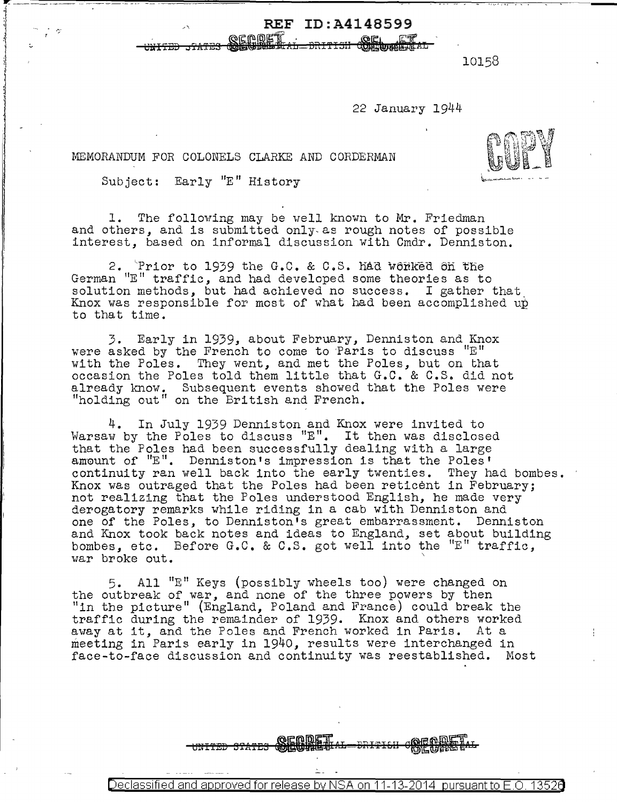10158

22 January 1944

**OCL ET** 

MEMORANDUM FOR COLONELS CLARKE AND CORDERMAN

Subject: Early "E" History

 $\frac{1}{r}$  ;  $\frac{1}{r}$ 

1. The following may be well known to Mr. Friedman and others, and is submitted only-as rough notes of possible interest, based on informal discussion with Cmdr. Denniston.

REF ID:A4148599

2. 'Prior to 1939 the G.C. & C.S. had wonked on the German "E" traffic, and had developed some theories as to solution methods, but had achieved no success. I gather that Knox was responsible for most of what had been accomplished up to that time.

3. Early in 1939, about February, Denniston and Knox were asked by the French to come to Paris to discuss  $"E"$ with the Poles. They went, and met the Poles, but on that occasion the Poles told them little that G.C. & C.S. did not already know. Subsequent events showed that the Poles were "holding out" on the British and French.

4. In July 1939 Denniston and Knox were invited to Warsaw by the Poles to discuss "E". It then was disclosed that the Poles had been successfully dealing with a large amount of "E". Denniston's impression is that the Poles' continuity ran well back into the early twenties. They had bombes. Knox was outraged that the Poles had been reticent in February; not realizing that the Poles understood English, he made very derogatory remarks while riding in a cab with Denniston and one of the Poles, to Denniston's great embarrassment. Denniston and Knox took back notes and ideas to England, set about building bombes, etc. Before G.C. & C.S. got well into the "E" traffic, war broke out.

5. All "E" Keys (possibly wheels too) were changed on the outbreak of war, and none of the three powers by then "in the picture" (England, Poland and France) could break the traffic during the remainder of 1939. Knox and others worked away at it, and the Poles and French worked in Paris. At a meeting in Paris early in 1940, results were interchanged in face-to-face discussion and continuity was reestablished. Most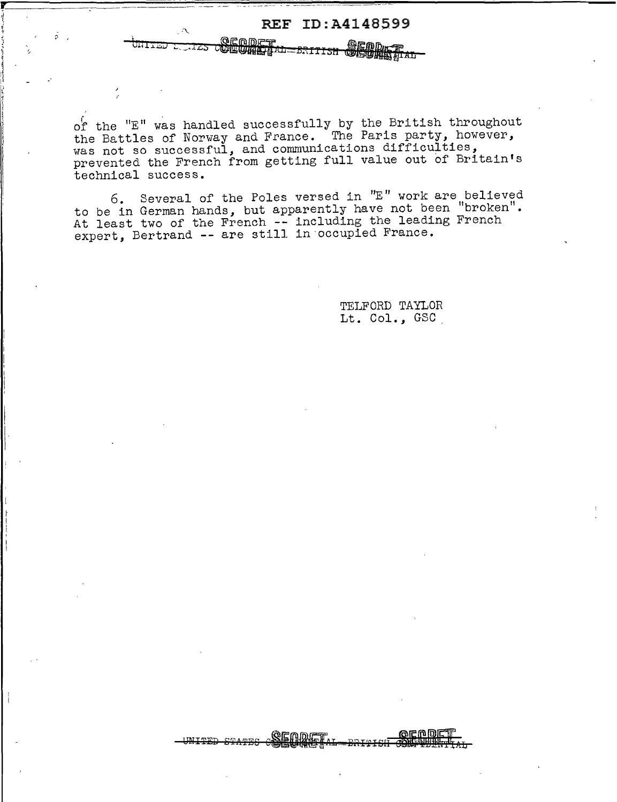of the  $"E"$  was handled successfully by the British throughout the Battles of Norway and France. The Paris party, however, was not so successful, and communications difficulties, prevented the French from getting full value out of Britain's technical success.

cSliffMififiw ~1UII:5U *IHl/ltfflAn* 

REF ID:A4148599

'l ~· \' ~.  $\mathcal{L} \subset \mathcal{L}$  $\frac{1}{2}$  , , , , ,

;> <sup>I</sup>

bi•IJ.~J t~ **\_\_ ...** l~S

~ ii ( ~ I l t l I I J \

> $\begin{matrix} \vdots \\ \vdots \\ \vdots \end{matrix}$ I

6. Several of the Poles versed in "E" work are believed to be in German hands, but apparently have not been "broken". At least two of the French -- including the leading French At least two of the French -- including the reduction

> TELFORD TAYLOR Lt. Col., GSC